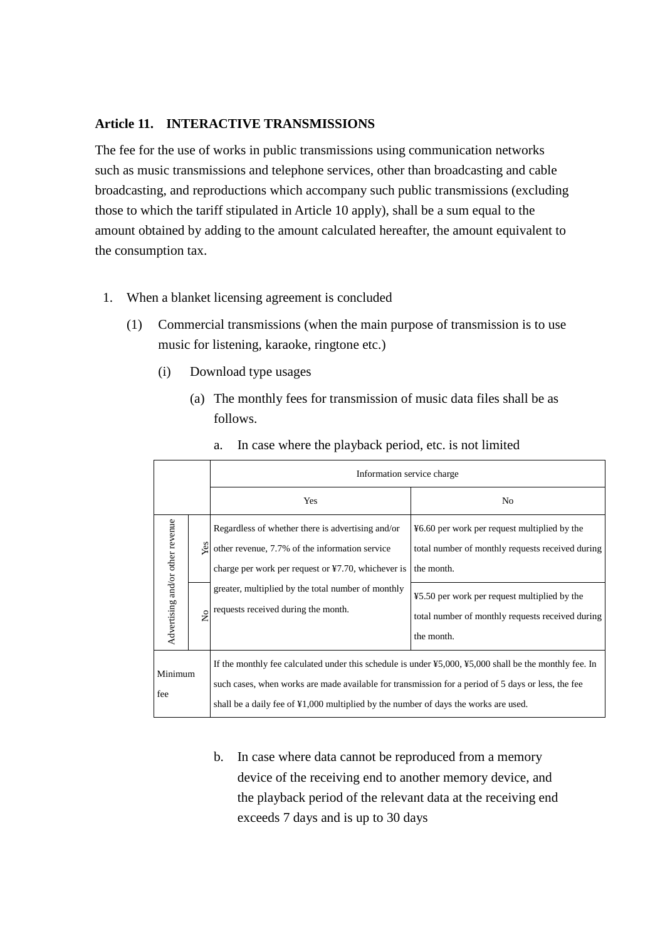## **Article 11. INTERACTIVE TRANSMISSIONS**

The fee for the use of works in public transmissions using communication networks such as music transmissions and telephone services, other than broadcasting and cable broadcasting, and reproductions which accompany such public transmissions (excluding those to which the tariff stipulated in Article 10 apply), shall be a sum equal to the amount obtained by adding to the amount calculated hereafter, the amount equivalent to the consumption tax.

- 1. When a blanket licensing agreement is concluded
	- (1) Commercial transmissions (when the main purpose of transmission is to use music for listening, karaoke, ringtone etc.)
		- (i) Download type usages
			- (a) The monthly fees for transmission of music data files shall be as follows.

|                                  |               | Information service charge                                                                                                                                                                                                                                                                                                |                                                                                                                |  |
|----------------------------------|---------------|---------------------------------------------------------------------------------------------------------------------------------------------------------------------------------------------------------------------------------------------------------------------------------------------------------------------------|----------------------------------------------------------------------------------------------------------------|--|
|                                  |               | Yes                                                                                                                                                                                                                                                                                                                       | N <sub>0</sub>                                                                                                 |  |
| Advertising and/or other revenue | Yes           | Regardless of whether there is advertising and/or<br>other revenue, 7.7% of the information service<br>charge per work per request or $\yen$ 7.70, whichever is                                                                                                                                                           | ¥6.60 per work per request multiplied by the<br>total number of monthly requests received during<br>the month. |  |
|                                  | $\frac{1}{2}$ | greater, multiplied by the total number of monthly<br>requests received during the month.                                                                                                                                                                                                                                 | ¥5.50 per work per request multiplied by the<br>total number of monthly requests received during<br>the month. |  |
| Minimum<br>fee                   |               | If the monthly fee calculated under this schedule is under $\frac{1}{2}5,000, \frac{1}{2}5,000$ shall be the monthly fee. In<br>such cases, when works are made available for transmission for a period of 5 days or less, the fee<br>shall be a daily fee of ¥1,000 multiplied by the number of days the works are used. |                                                                                                                |  |

a. In case where the playback period, etc. is not limited

b. In case where data cannot be reproduced from a memory device of the receiving end to another memory device, and the playback period of the relevant data at the receiving end exceeds 7 days and is up to 30 days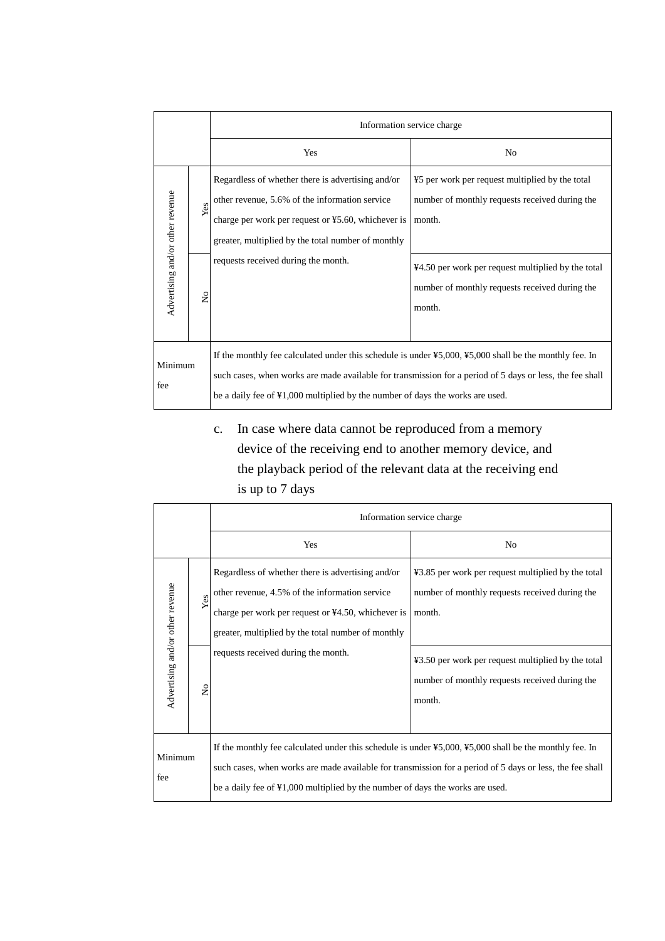|                                  |                    | Information service charge                                                                                                                                                                                                                                                                                                                     |                                                                                                                                                                                                                               |  |
|----------------------------------|--------------------|------------------------------------------------------------------------------------------------------------------------------------------------------------------------------------------------------------------------------------------------------------------------------------------------------------------------------------------------|-------------------------------------------------------------------------------------------------------------------------------------------------------------------------------------------------------------------------------|--|
|                                  |                    | Yes                                                                                                                                                                                                                                                                                                                                            | No                                                                                                                                                                                                                            |  |
| Advertising and/or other revenue | Yes<br>$\tilde{z}$ | Regardless of whether there is advertising and/or<br>other revenue, 5.6% of the information service<br>charge per work per request or ¥5.60, whichever is<br>greater, multiplied by the total number of monthly<br>requests received during the month.                                                                                         | ¥5 per work per request multiplied by the total<br>number of monthly requests received during the<br>month.<br>¥4.50 per work per request multiplied by the total<br>number of monthly requests received during the<br>month. |  |
| Minimum<br>fee                   |                    | If the monthly fee calculated under this schedule is under $\frac{1}{2}5,000, \frac{1}{2}5,000$ shall be the monthly fee. In<br>such cases, when works are made available for transmission for a period of 5 days or less, the fee shall<br>be a daily fee of $\text{\textsterling}1,000$ multiplied by the number of days the works are used. |                                                                                                                                                                                                                               |  |

# c. In case where data cannot be reproduced from a memory device of the receiving end to another memory device, and the playback period of the relevant data at the receiving end is up to 7 days

|                                  |               | Information service charge                                                                                                                                                                                                                                                                                                |                                                                                                                |
|----------------------------------|---------------|---------------------------------------------------------------------------------------------------------------------------------------------------------------------------------------------------------------------------------------------------------------------------------------------------------------------------|----------------------------------------------------------------------------------------------------------------|
|                                  |               | Yes                                                                                                                                                                                                                                                                                                                       | No                                                                                                             |
| Advertising and/or other revenue | Yes           | Regardless of whether there is advertising and/or<br>other revenue, 4.5% of the information service<br>charge per work per request or ¥4.50, whichever is<br>greater, multiplied by the total number of monthly                                                                                                           | ¥3.85 per work per request multiplied by the total<br>number of monthly requests received during the<br>month. |
|                                  | $\frac{1}{2}$ | requests received during the month.                                                                                                                                                                                                                                                                                       | ¥3.50 per work per request multiplied by the total<br>number of monthly requests received during the<br>month. |
| Minimum<br>fee                   |               | If the monthly fee calculated under this schedule is under $\frac{1}{2}5,000, \frac{1}{2}5,000$ shall be the monthly fee. In<br>such cases, when works are made available for transmission for a period of 5 days or less, the fee shall<br>be a daily fee of ¥1,000 multiplied by the number of days the works are used. |                                                                                                                |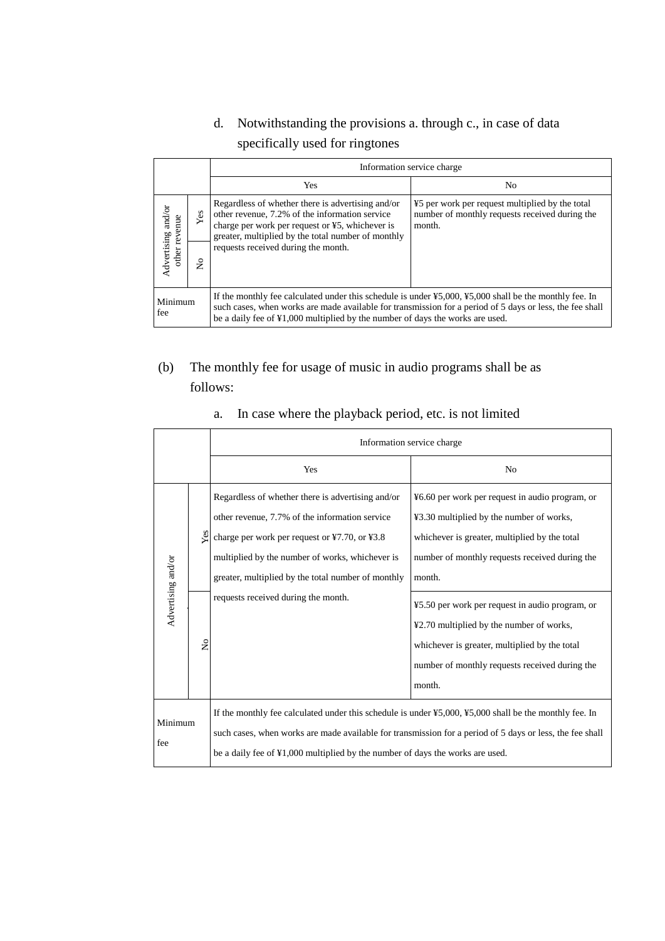# d. Notwithstanding the provisions a. through c., in case of data specifically used for ringtones

| Information service charge          |     |                                                                                                                                                                                                                                                                                                                           |                                                                                                             |
|-------------------------------------|-----|---------------------------------------------------------------------------------------------------------------------------------------------------------------------------------------------------------------------------------------------------------------------------------------------------------------------------|-------------------------------------------------------------------------------------------------------------|
|                                     |     | Yes                                                                                                                                                                                                                                                                                                                       | N <sub>0</sub>                                                                                              |
| Advertising and/or<br>other revenue | Yes | Regardless of whether there is advertising and/or<br>other revenue, 7.2% of the information service<br>charge per work per request or ¥5, whichever is<br>greater, multiplied by the total number of monthly                                                                                                              | ¥5 per work per request multiplied by the total<br>number of monthly requests received during the<br>month. |
|                                     | ż   | requests received during the month.                                                                                                                                                                                                                                                                                       |                                                                                                             |
| Minimum<br>fee                      |     | If the monthly fee calculated under this schedule is under $\frac{1}{2}5,000, \frac{1}{2}5,000$ shall be the monthly fee. In<br>such cases, when works are made available for transmission for a period of 5 days or less, the fee shall<br>be a daily fee of ¥1,000 multiplied by the number of days the works are used. |                                                                                                             |

# (b) The monthly fee for usage of music in audio programs shall be as follows:

|                    | Information service charge |                                                                                                                                                                                                                                                                                                                                             |                                                                                                                                                                                                          |
|--------------------|----------------------------|---------------------------------------------------------------------------------------------------------------------------------------------------------------------------------------------------------------------------------------------------------------------------------------------------------------------------------------------|----------------------------------------------------------------------------------------------------------------------------------------------------------------------------------------------------------|
|                    |                            | Yes                                                                                                                                                                                                                                                                                                                                         | N <sub>0</sub>                                                                                                                                                                                           |
|                    | Yes                        | Regardless of whether there is advertising and/or<br>other revenue, 7.7% of the information service<br>charge per work per request or ¥7.70, or ¥3.8<br>multiplied by the number of works, whichever is<br>greater, multiplied by the total number of monthly                                                                               | ¥6.60 per work per request in audio program, or<br>¥3.30 multiplied by the number of works,<br>whichever is greater, multiplied by the total<br>number of monthly requests received during the<br>month. |
| Advertising and/or | $\frac{1}{2}$              | requests received during the month.                                                                                                                                                                                                                                                                                                         | ¥5.50 per work per request in audio program, or<br>¥2.70 multiplied by the number of works,<br>whichever is greater, multiplied by the total<br>number of monthly requests received during the<br>month. |
| Minimum<br>fee     |                            | If the monthly fee calculated under this schedule is under $\text{\textsterling}5,000, \text{\textsterling}5,000$ shall be the monthly fee. In<br>such cases, when works are made available for transmission for a period of 5 days or less, the fee shall<br>be a daily fee of ¥1,000 multiplied by the number of days the works are used. |                                                                                                                                                                                                          |

# a. In case where the playback period, etc. is not limited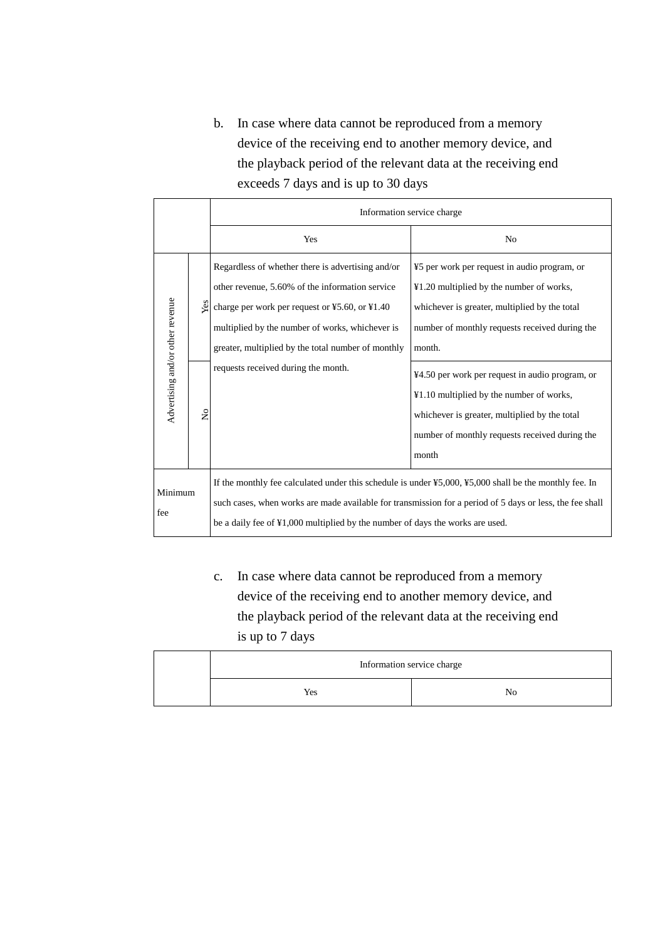b. In case where data cannot be reproduced from a memory device of the receiving end to another memory device, and the playback period of the relevant data at the receiving end exceeds 7 days and is up to 30 days

|                                  |                | Information service charge                                                                                                                                                                                                                                                                                                                  |                                                                                                                                                                                                         |  |
|----------------------------------|----------------|---------------------------------------------------------------------------------------------------------------------------------------------------------------------------------------------------------------------------------------------------------------------------------------------------------------------------------------------|---------------------------------------------------------------------------------------------------------------------------------------------------------------------------------------------------------|--|
|                                  |                | Yes                                                                                                                                                                                                                                                                                                                                         | N <sub>0</sub>                                                                                                                                                                                          |  |
|                                  | Yes            | Regardless of whether there is advertising and/or<br>other revenue, 5.60% of the information service<br>charge per work per request or ¥5.60, or ¥1.40<br>multiplied by the number of works, whichever is<br>greater, multiplied by the total number of monthly                                                                             | ¥5 per work per request in audio program, or<br>¥1.20 multiplied by the number of works,<br>whichever is greater, multiplied by the total<br>number of monthly requests received during the<br>month.   |  |
| Advertising and/or other revenue | $\overline{a}$ | requests received during the month.                                                                                                                                                                                                                                                                                                         | ¥4.50 per work per request in audio program, or<br>¥1.10 multiplied by the number of works,<br>whichever is greater, multiplied by the total<br>number of monthly requests received during the<br>month |  |
| Minimum<br>fee                   |                | If the monthly fee calculated under this schedule is under $\text{\textsterling}5,000, \text{\textsterling}5,000$ shall be the monthly fee. In<br>such cases, when works are made available for transmission for a period of 5 days or less, the fee shall<br>be a daily fee of ¥1,000 multiplied by the number of days the works are used. |                                                                                                                                                                                                         |  |

c. In case where data cannot be reproduced from a memory device of the receiving end to another memory device, and the playback period of the relevant data at the receiving end is up to 7 days

| Information service charge |    |  |
|----------------------------|----|--|
| Yes                        | Nο |  |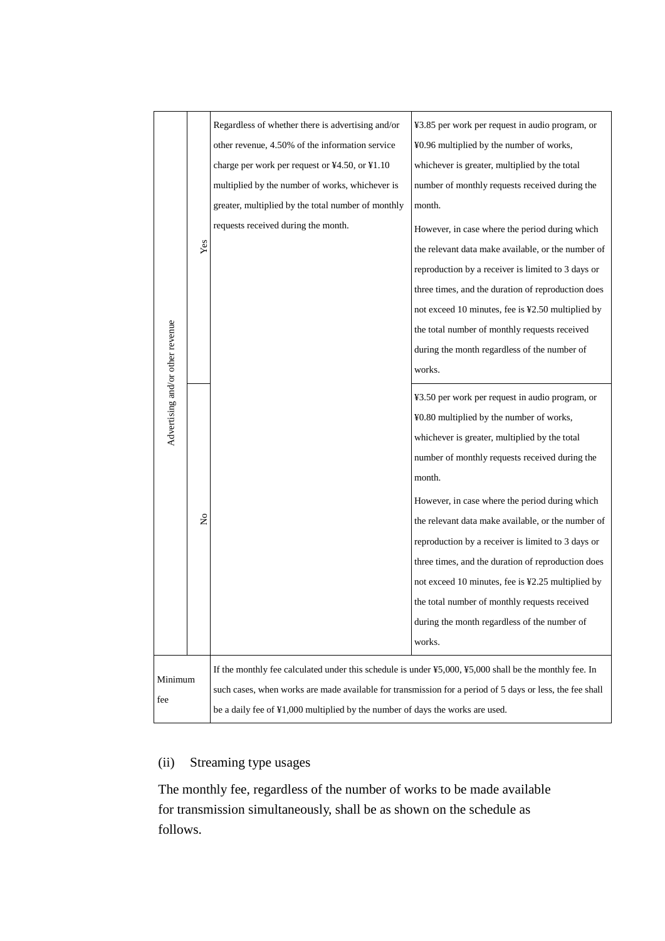|                                                                                                                                                |             | Regardless of whether there is advertising and/or                                                        | ¥3.85 per work per request in audio program, or    |
|------------------------------------------------------------------------------------------------------------------------------------------------|-------------|----------------------------------------------------------------------------------------------------------|----------------------------------------------------|
|                                                                                                                                                |             | other revenue, 4.50% of the information service                                                          | ¥0.96 multiplied by the number of works,           |
|                                                                                                                                                |             | charge per work per request or ¥4.50, or ¥1.10                                                           | whichever is greater, multiplied by the total      |
|                                                                                                                                                |             | multiplied by the number of works, whichever is                                                          | number of monthly requests received during the     |
|                                                                                                                                                |             | greater, multiplied by the total number of monthly                                                       | month.                                             |
|                                                                                                                                                |             | requests received during the month.                                                                      | However, in case where the period during which     |
|                                                                                                                                                | Yes         |                                                                                                          | the relevant data make available, or the number of |
|                                                                                                                                                |             |                                                                                                          | reproduction by a receiver is limited to 3 days or |
|                                                                                                                                                |             |                                                                                                          | three times, and the duration of reproduction does |
|                                                                                                                                                |             |                                                                                                          | not exceed 10 minutes, fee is ¥2.50 multiplied by  |
|                                                                                                                                                |             |                                                                                                          | the total number of monthly requests received      |
|                                                                                                                                                |             |                                                                                                          | during the month regardless of the number of       |
| Advertising and/or other revenue                                                                                                               |             |                                                                                                          | works.                                             |
|                                                                                                                                                |             |                                                                                                          | ¥3.50 per work per request in audio program, or    |
|                                                                                                                                                |             |                                                                                                          | ¥0.80 multiplied by the number of works,           |
|                                                                                                                                                |             |                                                                                                          | whichever is greater, multiplied by the total      |
|                                                                                                                                                |             |                                                                                                          | number of monthly requests received during the     |
|                                                                                                                                                |             |                                                                                                          | month.                                             |
|                                                                                                                                                |             |                                                                                                          | However, in case where the period during which     |
|                                                                                                                                                | $\tilde{z}$ |                                                                                                          | the relevant data make available, or the number of |
|                                                                                                                                                |             |                                                                                                          | reproduction by a receiver is limited to 3 days or |
|                                                                                                                                                |             |                                                                                                          | three times, and the duration of reproduction does |
|                                                                                                                                                |             |                                                                                                          | not exceed 10 minutes, fee is ¥2.25 multiplied by  |
|                                                                                                                                                |             |                                                                                                          | the total number of monthly requests received      |
|                                                                                                                                                |             |                                                                                                          | during the month regardless of the number of       |
|                                                                                                                                                |             |                                                                                                          | works.                                             |
| If the monthly fee calculated under this schedule is under $\text{\textsterling}5,000, \text{\textsterling}5,000$ shall be the monthly fee. In |             |                                                                                                          |                                                    |
| Minimum                                                                                                                                        |             | such cases, when works are made available for transmission for a period of 5 days or less, the fee shall |                                                    |
| fee                                                                                                                                            |             | be a daily fee of ¥1,000 multiplied by the number of days the works are used.                            |                                                    |
|                                                                                                                                                |             |                                                                                                          |                                                    |

# (ii) Streaming type usages

The monthly fee, regardless of the number of works to be made available for transmission simultaneously, shall be as shown on the schedule as follows.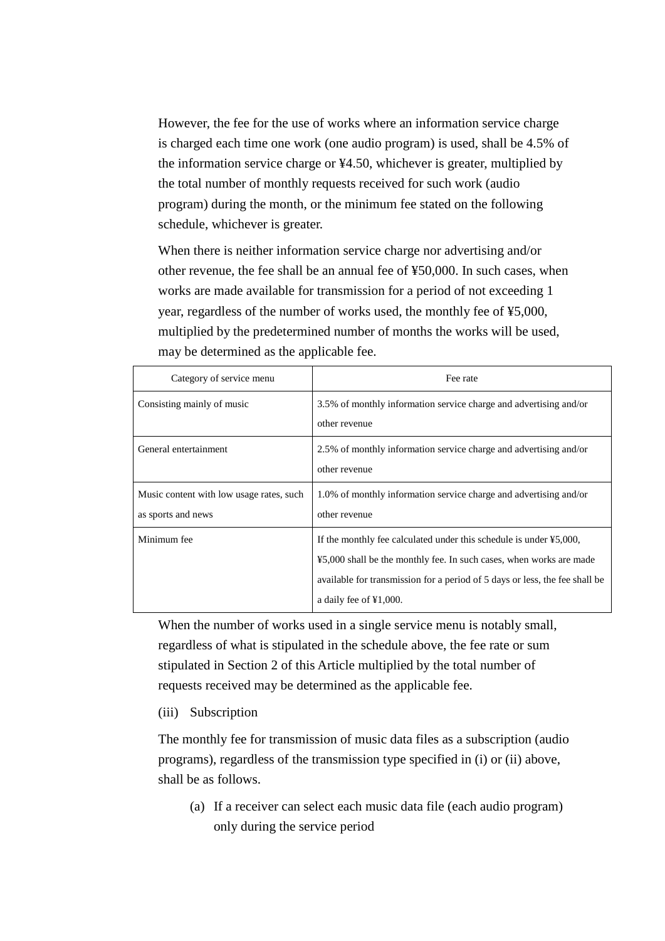However, the fee for the use of works where an information service charge is charged each time one work (one audio program) is used, shall be 4.5% of the information service charge or ¥4.50, whichever is greater, multiplied by the total number of monthly requests received for such work (audio program) during the month, or the minimum fee stated on the following schedule, whichever is greater.

When there is neither information service charge nor advertising and/or other revenue, the fee shall be an annual fee of ¥50,000. In such cases, when works are made available for transmission for a period of not exceeding 1 year, regardless of the number of works used, the monthly fee of ¥5,000, multiplied by the predetermined number of months the works will be used, may be determined as the applicable fee.

| Category of service menu                 | Fee rate                                                                                 |
|------------------------------------------|------------------------------------------------------------------------------------------|
| Consisting mainly of music               | 3.5% of monthly information service charge and advertising and/or                        |
|                                          | other revenue                                                                            |
| General entertainment                    | 2.5% of monthly information service charge and advertising and/or                        |
|                                          | other revenue                                                                            |
| Music content with low usage rates, such | 1.0% of monthly information service charge and advertising and/or                        |
| as sports and news                       | other revenue                                                                            |
| Minimum fee                              | If the monthly fee calculated under this schedule is under $\text{\textsterling}5,000$ , |
|                                          | ¥5,000 shall be the monthly fee. In such cases, when works are made                      |
|                                          | available for transmission for a period of 5 days or less, the fee shall be              |
|                                          | a daily fee of $\yen 1,000$ .                                                            |

When the number of works used in a single service menu is notably small, regardless of what is stipulated in the schedule above, the fee rate or sum stipulated in Section 2 of this Article multiplied by the total number of requests received may be determined as the applicable fee.

(iii) Subscription

The monthly fee for transmission of music data files as a subscription (audio programs), regardless of the transmission type specified in (i) or (ii) above, shall be as follows.

(a) If a receiver can select each music data file (each audio program) only during the service period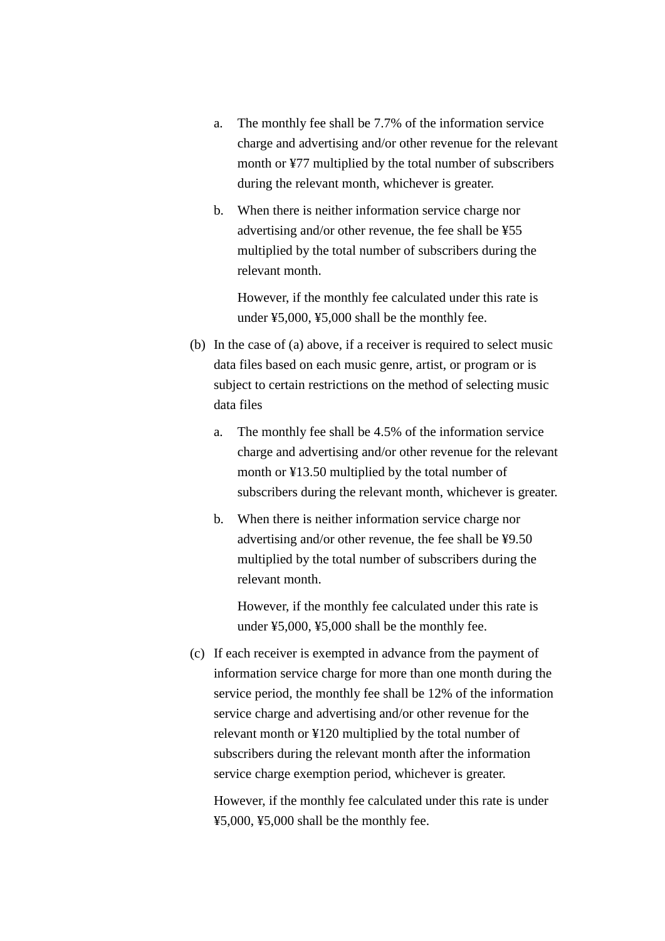- a. The monthly fee shall be 7.7% of the information service charge and advertising and/or other revenue for the relevant month or ¥77 multiplied by the total number of subscribers during the relevant month, whichever is greater.
- b. When there is neither information service charge nor advertising and/or other revenue, the fee shall be ¥55 multiplied by the total number of subscribers during the relevant month.

However, if the monthly fee calculated under this rate is under ¥5,000, ¥5,000 shall be the monthly fee.

- (b) In the case of (a) above, if a receiver is required to select music data files based on each music genre, artist, or program or is subject to certain restrictions on the method of selecting music data files
	- a. The monthly fee shall be 4.5% of the information service charge and advertising and/or other revenue for the relevant month or ¥13.50 multiplied by the total number of subscribers during the relevant month, whichever is greater.
	- b. When there is neither information service charge nor advertising and/or other revenue, the fee shall be ¥9.50 multiplied by the total number of subscribers during the relevant month.

However, if the monthly fee calculated under this rate is under ¥5,000, ¥5,000 shall be the monthly fee.

(c) If each receiver is exempted in advance from the payment of information service charge for more than one month during the service period, the monthly fee shall be 12% of the information service charge and advertising and/or other revenue for the relevant month or ¥120 multiplied by the total number of subscribers during the relevant month after the information service charge exemption period, whichever is greater.

However, if the monthly fee calculated under this rate is under ¥5,000, ¥5,000 shall be the monthly fee.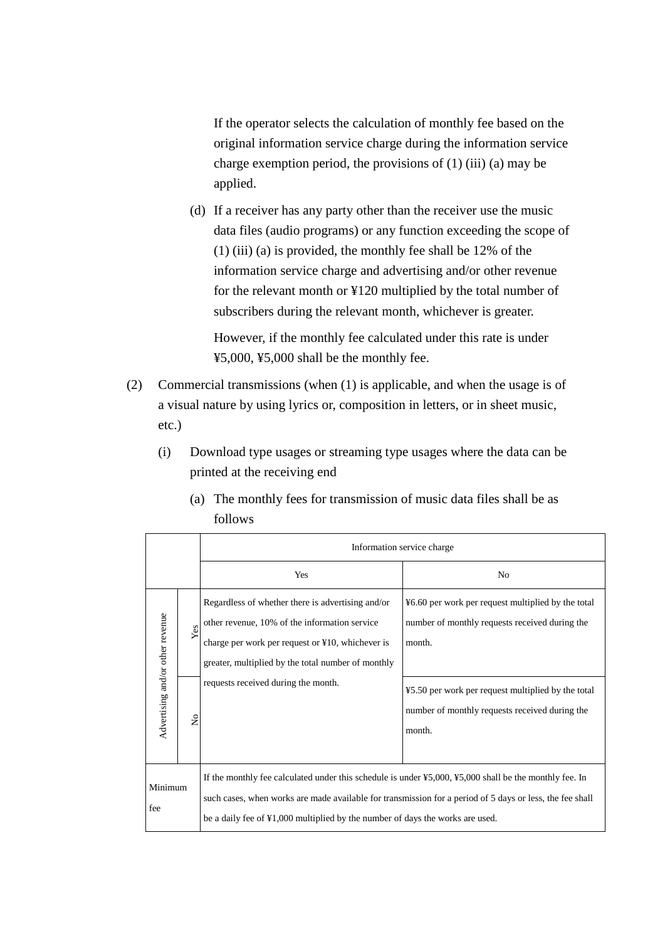If the operator selects the calculation of monthly fee based on the original information service charge during the information service charge exemption period, the provisions of (1) (iii) (a) may be applied.

(d) If a receiver has any party other than the receiver use the music data files (audio programs) or any function exceeding the scope of (1) (iii) (a) is provided, the monthly fee shall be 12% of the information service charge and advertising and/or other revenue for the relevant month or ¥120 multiplied by the total number of subscribers during the relevant month, whichever is greater.

However, if the monthly fee calculated under this rate is under ¥5,000, ¥5,000 shall be the monthly fee.

- (2) Commercial transmissions (when (1) is applicable, and when the usage is of a visual nature by using lyrics or, composition in letters, or in sheet music, etc.)
	- (i) Download type usages or streaming type usages where the data can be printed at the receiving end

| (a) The monthly fees for transmission of music data files shall be as |
|-----------------------------------------------------------------------|
| follows                                                               |

|                                                                                                                                                                                                                                                                                                                       |                    | Information service charge                                                                                                                                                                                                                          |                                                                                                                                                                                                                                  |
|-----------------------------------------------------------------------------------------------------------------------------------------------------------------------------------------------------------------------------------------------------------------------------------------------------------------------|--------------------|-----------------------------------------------------------------------------------------------------------------------------------------------------------------------------------------------------------------------------------------------------|----------------------------------------------------------------------------------------------------------------------------------------------------------------------------------------------------------------------------------|
|                                                                                                                                                                                                                                                                                                                       |                    | Yes                                                                                                                                                                                                                                                 | No                                                                                                                                                                                                                               |
| Advertising and/or other revenue                                                                                                                                                                                                                                                                                      | Yes<br>$\tilde{z}$ | Regardless of whether there is advertising and/or<br>other revenue, 10% of the information service<br>charge per work per request or ¥10, whichever is<br>greater, multiplied by the total number of monthly<br>requests received during the month. | ¥6.60 per work per request multiplied by the total<br>number of monthly requests received during the<br>month.<br>¥5.50 per work per request multiplied by the total<br>number of monthly requests received during the<br>month. |
| If the monthly fee calculated under this schedule is under ¥5,000, ¥5,000 shall be the monthly fee. In<br>Minimum<br>such cases, when works are made available for transmission for a period of 5 days or less, the fee shall<br>fee<br>be a daily fee of ¥1,000 multiplied by the number of days the works are used. |                    |                                                                                                                                                                                                                                                     |                                                                                                                                                                                                                                  |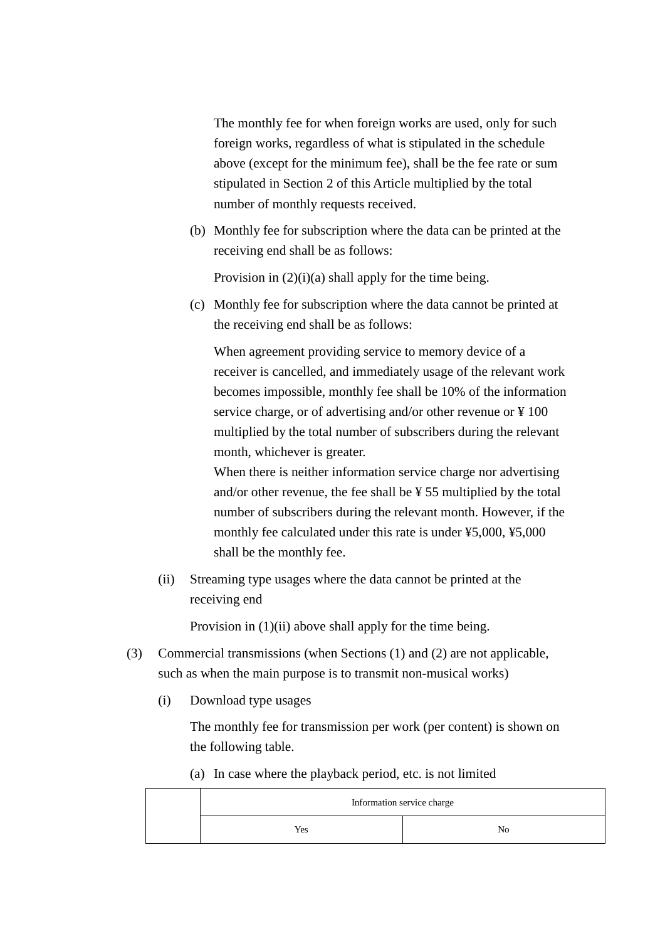The monthly fee for when foreign works are used, only for such foreign works, regardless of what is stipulated in the schedule above (except for the minimum fee), shall be the fee rate or sum stipulated in Section 2 of this Article multiplied by the total number of monthly requests received.

(b) Monthly fee for subscription where the data can be printed at the receiving end shall be as follows:

Provision in  $(2)(i)(a)$  shall apply for the time being.

(c) Monthly fee for subscription where the data cannot be printed at the receiving end shall be as follows:

When agreement providing service to memory device of a receiver is cancelled, and immediately usage of the relevant work becomes impossible, monthly fee shall be 10% of the information service charge, or of advertising and/or other revenue or ¥ 100 multiplied by the total number of subscribers during the relevant month, whichever is greater.

When there is neither information service charge nor advertising and/or other revenue, the fee shall be ¥ 55 multiplied by the total number of subscribers during the relevant month. However, if the monthly fee calculated under this rate is under ¥5,000, ¥5,000 shall be the monthly fee.

(ii) Streaming type usages where the data cannot be printed at the receiving end

Provision in  $(1)(ii)$  above shall apply for the time being.

- (3) Commercial transmissions (when Sections (1) and (2) are not applicable, such as when the main purpose is to transmit non-musical works)
	- (i) Download type usages

The monthly fee for transmission per work (per content) is shown on the following table.

(a) In case where the playback period, etc. is not limited

|     | Information service charge |
|-----|----------------------------|
| Yes | No                         |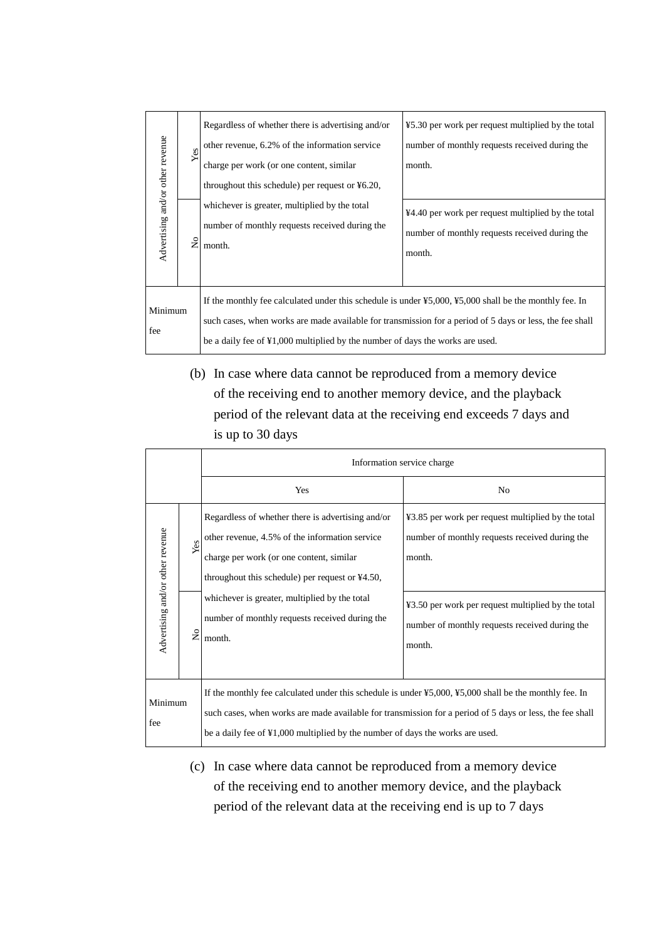| Advertising and/or other revenue | Yes<br>$\frac{1}{2}$ | Regardless of whether there is advertising and/or<br>other revenue, 6.2% of the information service<br>charge per work (or one content, similar<br>throughout this schedule) per request or $\text{\textsterling}6.20$ ,<br>whichever is greater, multiplied by the total<br>number of monthly requests received during the<br>month.          | ¥5.30 per work per request multiplied by the total<br>number of monthly requests received during the<br>month.<br>¥4.40 per work per request multiplied by the total<br>number of monthly requests received during the<br>month. |
|----------------------------------|----------------------|------------------------------------------------------------------------------------------------------------------------------------------------------------------------------------------------------------------------------------------------------------------------------------------------------------------------------------------------|----------------------------------------------------------------------------------------------------------------------------------------------------------------------------------------------------------------------------------|
| Minimum<br>fee                   |                      | If the monthly fee calculated under this schedule is under $\frac{1}{2}5,000, \frac{1}{2}5,000$ shall be the monthly fee. In<br>such cases, when works are made available for transmission for a period of 5 days or less, the fee shall<br>be a daily fee of $\text{\textsterling}1,000$ multiplied by the number of days the works are used. |                                                                                                                                                                                                                                  |

(b) In case where data cannot be reproduced from a memory device of the receiving end to another memory device, and the playback period of the relevant data at the receiving end exceeds 7 days and is up to 30 days

|                                  |                                  | Information service charge                                                                                                                                                                                                                                                                                                            |                                                                                                                                                                                                                                  |
|----------------------------------|----------------------------------|---------------------------------------------------------------------------------------------------------------------------------------------------------------------------------------------------------------------------------------------------------------------------------------------------------------------------------------|----------------------------------------------------------------------------------------------------------------------------------------------------------------------------------------------------------------------------------|
|                                  |                                  | Yes                                                                                                                                                                                                                                                                                                                                   | No                                                                                                                                                                                                                               |
| Advertising and/or other revenue | Yes<br>$\mathsf{S}^{\mathsf{O}}$ | Regardless of whether there is advertising and/or<br>other revenue, 4.5% of the information service<br>charge per work (or one content, similar<br>throughout this schedule) per request or $\text{\textsterling}4.50$ ,<br>whichever is greater, multiplied by the total<br>number of monthly requests received during the<br>month. | ¥3.85 per work per request multiplied by the total<br>number of monthly requests received during the<br>month.<br>¥3.50 per work per request multiplied by the total<br>number of monthly requests received during the<br>month. |
| Minimum<br>fee                   |                                  | If the monthly fee calculated under this schedule is under ¥5,000, ¥5,000 shall be the monthly fee. In<br>such cases, when works are made available for transmission for a period of 5 days or less, the fee shall<br>be a daily fee of ¥1,000 multiplied by the number of days the works are used.                                   |                                                                                                                                                                                                                                  |

(c) In case where data cannot be reproduced from a memory device of the receiving end to another memory device, and the playback period of the relevant data at the receiving end is up to 7 days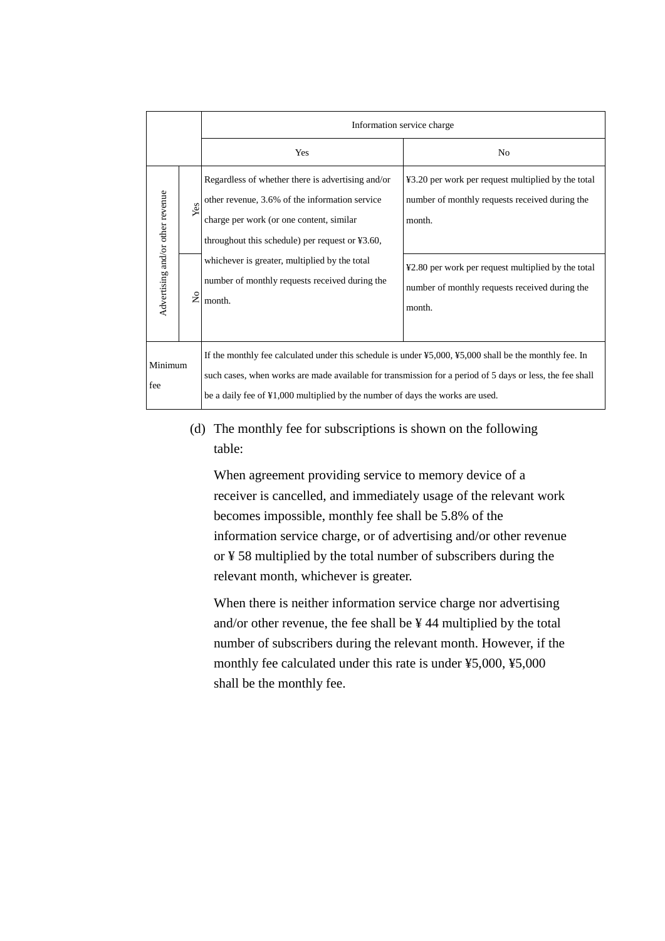|                                  |                   | Information service charge                                                                                                                                                                                                                                                                                                |                                                                                                                                                                                                                                  |
|----------------------------------|-------------------|---------------------------------------------------------------------------------------------------------------------------------------------------------------------------------------------------------------------------------------------------------------------------------------------------------------------------|----------------------------------------------------------------------------------------------------------------------------------------------------------------------------------------------------------------------------------|
|                                  |                   | Yes                                                                                                                                                                                                                                                                                                                       | N <sub>0</sub>                                                                                                                                                                                                                   |
| Advertising and/or other revenue | Yes<br>$\epsilon$ | Regardless of whether there is advertising and/or<br>other revenue, 3.6% of the information service<br>charge per work (or one content, similar<br>throughout this schedule) per request or $43.60$ ,<br>whichever is greater, multiplied by the total<br>number of monthly requests received during the<br>month.        | ¥3.20 per work per request multiplied by the total<br>number of monthly requests received during the<br>month.<br>¥2.80 per work per request multiplied by the total<br>number of monthly requests received during the<br>month. |
| Minimum<br>fee                   |                   | If the monthly fee calculated under this schedule is under $\frac{1}{2}5,000, \frac{1}{2}5,000$ shall be the monthly fee. In<br>such cases, when works are made available for transmission for a period of 5 days or less, the fee shall<br>be a daily fee of ¥1,000 multiplied by the number of days the works are used. |                                                                                                                                                                                                                                  |

(d) The monthly fee for subscriptions is shown on the following table:

When agreement providing service to memory device of a receiver is cancelled, and immediately usage of the relevant work becomes impossible, monthly fee shall be 5.8% of the information service charge, or of advertising and/or other revenue or ¥ 58 multiplied by the total number of subscribers during the relevant month, whichever is greater.

When there is neither information service charge nor advertising and/or other revenue, the fee shall be ¥ 44 multiplied by the total number of subscribers during the relevant month. However, if the monthly fee calculated under this rate is under ¥5,000, ¥5,000 shall be the monthly fee.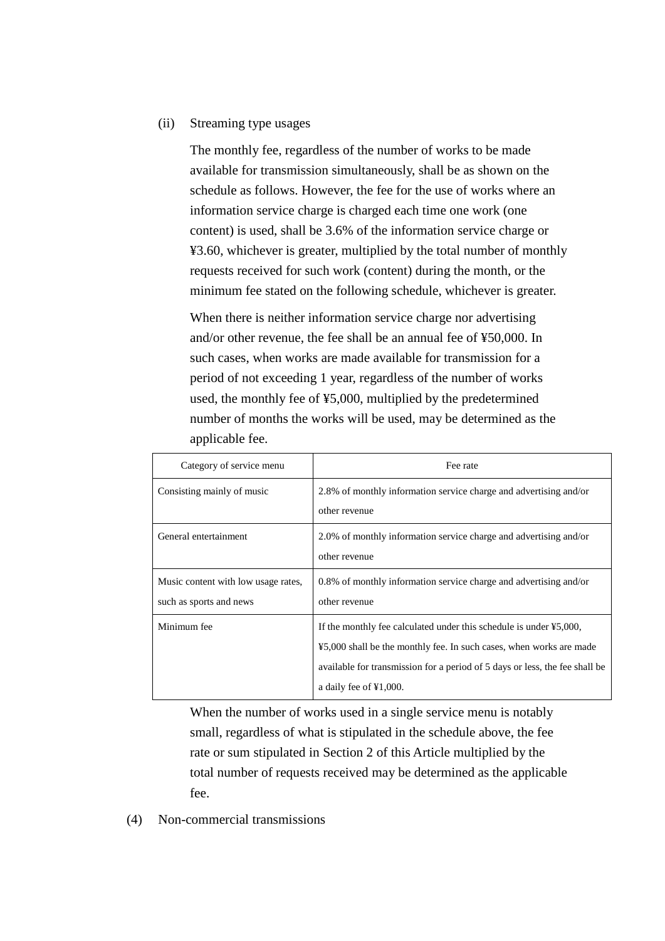#### (ii) Streaming type usages

The monthly fee, regardless of the number of works to be made available for transmission simultaneously, shall be as shown on the schedule as follows. However, the fee for the use of works where an information service charge is charged each time one work (one content) is used, shall be 3.6% of the information service charge or ¥3.60, whichever is greater, multiplied by the total number of monthly requests received for such work (content) during the month, or the minimum fee stated on the following schedule, whichever is greater.

When there is neither information service charge nor advertising and/or other revenue, the fee shall be an annual fee of ¥50,000. In such cases, when works are made available for transmission for a period of not exceeding 1 year, regardless of the number of works used, the monthly fee of ¥5,000, multiplied by the predetermined number of months the works will be used, may be determined as the applicable fee.

| Category of service menu            | Fee rate                                                                                 |
|-------------------------------------|------------------------------------------------------------------------------------------|
| Consisting mainly of music          | 2.8% of monthly information service charge and advertising and/or                        |
|                                     | other revenue                                                                            |
| General entertainment               | 2.0% of monthly information service charge and advertising and/or                        |
|                                     | other revenue                                                                            |
| Music content with low usage rates, | 0.8% of monthly information service charge and advertising and/or                        |
| such as sports and news             | other revenue                                                                            |
| Minimum fee                         | If the monthly fee calculated under this schedule is under $\text{\textsterling}5,000$ , |
|                                     | ¥5,000 shall be the monthly fee. In such cases, when works are made                      |
|                                     | available for transmission for a period of 5 days or less, the fee shall be              |
|                                     | a daily fee of $\yen 1,000$ .                                                            |

When the number of works used in a single service menu is notably small, regardless of what is stipulated in the schedule above, the fee rate or sum stipulated in Section 2 of this Article multiplied by the total number of requests received may be determined as the applicable fee.

(4) Non-commercial transmissions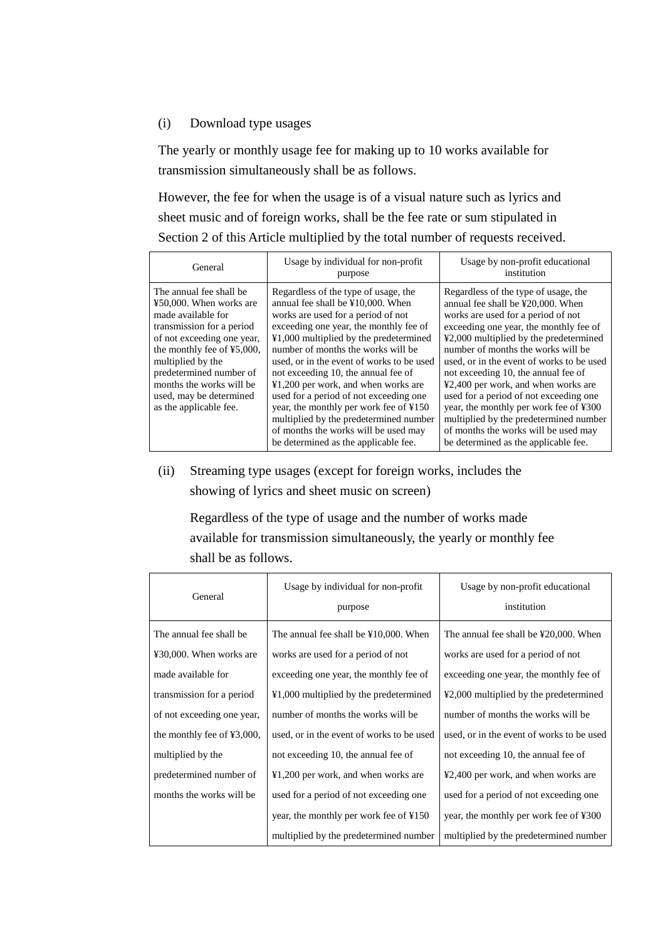### (i) Download type usages

The yearly or monthly usage fee for making up to 10 works available for transmission simultaneously shall be as follows.

However, the fee for when the usage is of a visual nature such as lyrics and sheet music and of foreign works, shall be the fee rate or sum stipulated in Section 2 of this Article multiplied by the total number of requests received.

| General                                                                                                                                                                                                                                                                                            | Usage by individual for non-profit<br>purpose                                                                                                                                                                                                                                                                                                                                                                                                                                                                                                                                                  | Usage by non-profit educational<br>institution                                                                                                                                                                                                                                                                                                                                                                                                                                                                                                                                                         |
|----------------------------------------------------------------------------------------------------------------------------------------------------------------------------------------------------------------------------------------------------------------------------------------------------|------------------------------------------------------------------------------------------------------------------------------------------------------------------------------------------------------------------------------------------------------------------------------------------------------------------------------------------------------------------------------------------------------------------------------------------------------------------------------------------------------------------------------------------------------------------------------------------------|--------------------------------------------------------------------------------------------------------------------------------------------------------------------------------------------------------------------------------------------------------------------------------------------------------------------------------------------------------------------------------------------------------------------------------------------------------------------------------------------------------------------------------------------------------------------------------------------------------|
| The annual fee shall be<br>¥50,000. When works are<br>made available for<br>transmission for a period<br>of not exceeding one year,<br>the monthly fee of ¥5,000,<br>multiplied by the<br>predetermined number of<br>months the works will be<br>used, may be determined<br>as the applicable fee. | Regardless of the type of usage, the<br>annual fee shall be ¥10,000. When<br>works are used for a period of not<br>exceeding one year, the monthly fee of<br>¥1,000 multiplied by the predetermined<br>number of months the works will be<br>used, or in the event of works to be used<br>not exceeding 10, the annual fee of<br>$\text{\yen}1,200$ per work, and when works are<br>used for a period of not exceeding one<br>year, the monthly per work fee of ¥150<br>multiplied by the predetermined number<br>of months the works will be used may<br>be determined as the applicable fee. | Regardless of the type of usage, the<br>annual fee shall be ¥20,000. When<br>works are used for a period of not<br>exceeding one year, the monthly fee of<br>¥2,000 multiplied by the predetermined<br>number of months the works will be<br>used, or in the event of works to be used<br>not exceeding 10, the annual fee of<br>$\textcolor{blue}{42,400}$ per work, and when works are<br>used for a period of not exceeding one<br>year, the monthly per work fee of ¥300<br>multiplied by the predetermined number<br>of months the works will be used may<br>be determined as the applicable fee. |

(ii) Streaming type usages (except for foreign works, includes the showing of lyrics and sheet music on screen)

Regardless of the type of usage and the number of works made available for transmission simultaneously, the yearly or monthly fee shall be as follows.

| General                       | Usage by individual for non-profit<br>purpose | Usage by non-profit educational<br>institution |  |
|-------------------------------|-----------------------------------------------|------------------------------------------------|--|
| The annual fee shall be.      | The annual fee shall be ¥10,000. When         | The annual fee shall be ¥20,000. When          |  |
| ¥30,000. When works are       | works are used for a period of not            | works are used for a period of not             |  |
| made available for            | exceeding one year, the monthly fee of        | exceeding one year, the monthly fee of         |  |
| transmission for a period     | ¥1,000 multiplied by the predetermined        | ¥2,000 multiplied by the predetermined         |  |
| of not exceeding one year,    | number of months the works will be            | number of months the works will be             |  |
| the monthly fee of $43,000$ , | used, or in the event of works to be used     | used, or in the event of works to be used      |  |
| multiplied by the             | not exceeding 10, the annual fee of           | not exceeding 10, the annual fee of            |  |
| predetermined number of       | ¥1,200 per work, and when works are           | ¥2,400 per work, and when works are            |  |
| months the works will be      | used for a period of not exceeding one        | used for a period of not exceeding one         |  |
|                               | year, the monthly per work fee of ¥150        | year, the monthly per work fee of ¥300         |  |
|                               | multiplied by the predetermined number        | multiplied by the predetermined number         |  |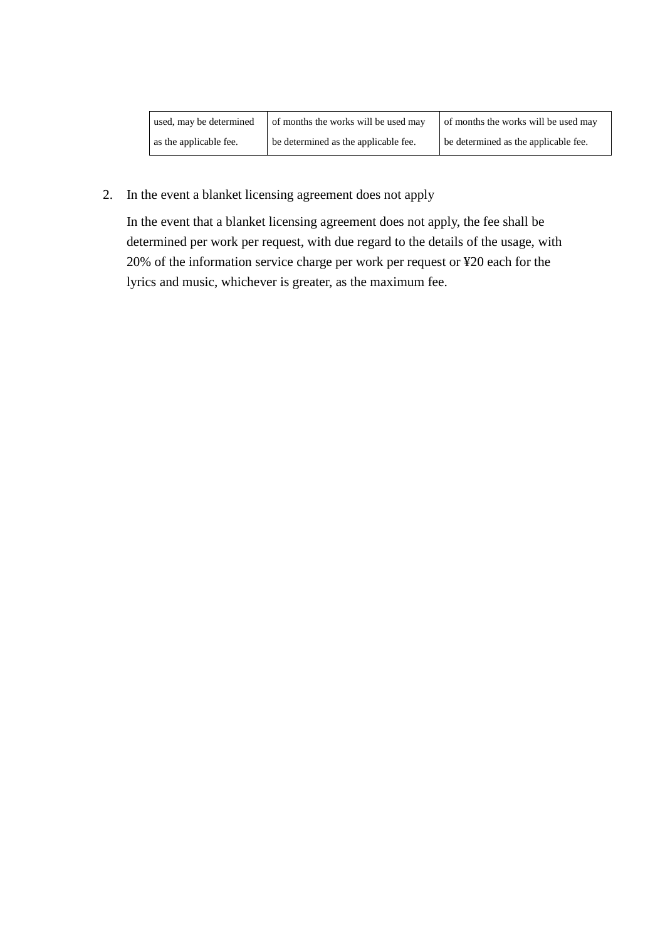| used, may be determined | of months the works will be used may | of months the works will be used may |
|-------------------------|--------------------------------------|--------------------------------------|
| as the applicable fee.  | be determined as the applicable fee. | be determined as the applicable fee. |

2. In the event a blanket licensing agreement does not apply

In the event that a blanket licensing agreement does not apply, the fee shall be determined per work per request, with due regard to the details of the usage, with 20% of the information service charge per work per request or ¥20 each for the lyrics and music, whichever is greater, as the maximum fee.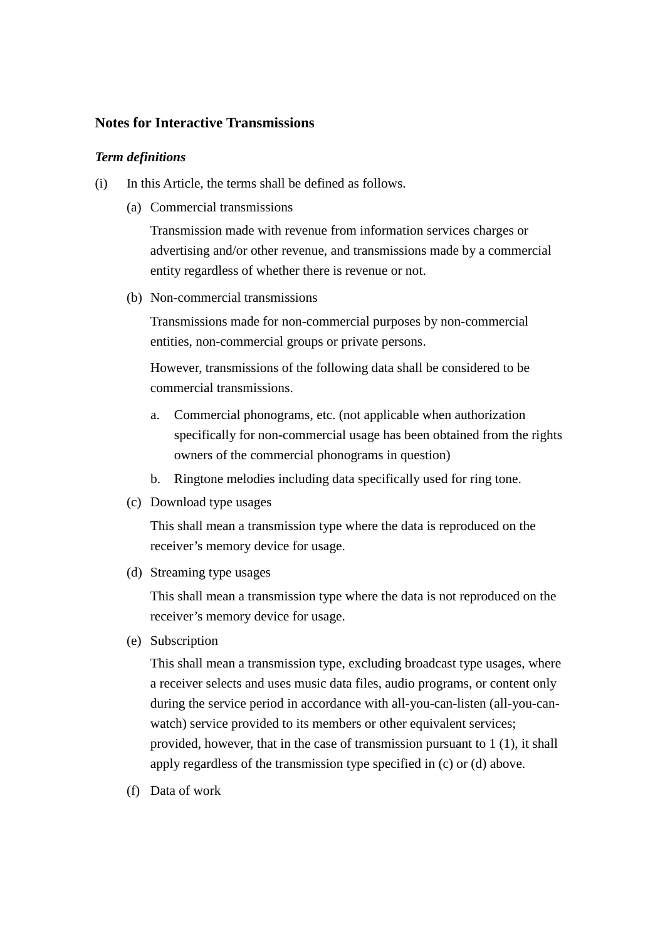## **Notes for Interactive Transmissions**

### *Term definitions*

- (i) In this Article, the terms shall be defined as follows.
	- (a) Commercial transmissions

Transmission made with revenue from information services charges or advertising and/or other revenue, and transmissions made by a commercial entity regardless of whether there is revenue or not.

(b) Non-commercial transmissions

Transmissions made for non-commercial purposes by non-commercial entities, non-commercial groups or private persons.

However, transmissions of the following data shall be considered to be commercial transmissions.

- a. Commercial phonograms, etc. (not applicable when authorization specifically for non-commercial usage has been obtained from the rights owners of the commercial phonograms in question)
- b. Ringtone melodies including data specifically used for ring tone.
- (c) Download type usages

This shall mean a transmission type where the data is reproduced on the receiver's memory device for usage.

(d) Streaming type usages

This shall mean a transmission type where the data is not reproduced on the receiver's memory device for usage.

(e) Subscription

This shall mean a transmission type, excluding broadcast type usages, where a receiver selects and uses music data files, audio programs, or content only during the service period in accordance with all-you-can-listen (all-you-canwatch) service provided to its members or other equivalent services; provided, however, that in the case of transmission pursuant to 1 (1), it shall apply regardless of the transmission type specified in (c) or (d) above.

(f) Data of work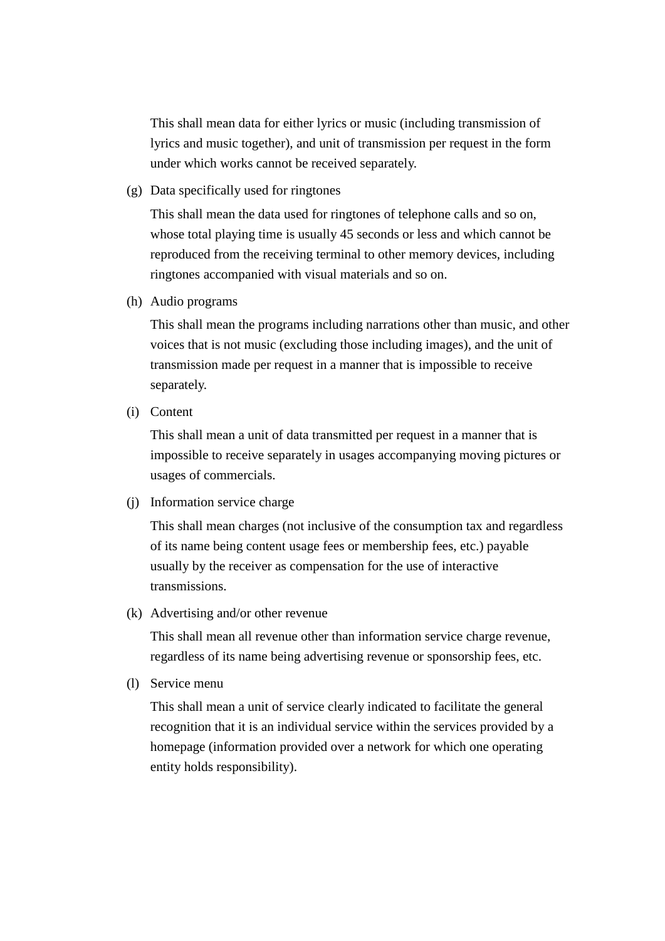This shall mean data for either lyrics or music (including transmission of lyrics and music together), and unit of transmission per request in the form under which works cannot be received separately.

(g) Data specifically used for ringtones

This shall mean the data used for ringtones of telephone calls and so on, whose total playing time is usually 45 seconds or less and which cannot be reproduced from the receiving terminal to other memory devices, including ringtones accompanied with visual materials and so on.

(h) Audio programs

This shall mean the programs including narrations other than music, and other voices that is not music (excluding those including images), and the unit of transmission made per request in a manner that is impossible to receive separately.

(i) Content

This shall mean a unit of data transmitted per request in a manner that is impossible to receive separately in usages accompanying moving pictures or usages of commercials.

(j) Information service charge

This shall mean charges (not inclusive of the consumption tax and regardless of its name being content usage fees or membership fees, etc.) payable usually by the receiver as compensation for the use of interactive transmissions.

(k) Advertising and/or other revenue

This shall mean all revenue other than information service charge revenue, regardless of its name being advertising revenue or sponsorship fees, etc.

(l) Service menu

This shall mean a unit of service clearly indicated to facilitate the general recognition that it is an individual service within the services provided by a homepage (information provided over a network for which one operating entity holds responsibility).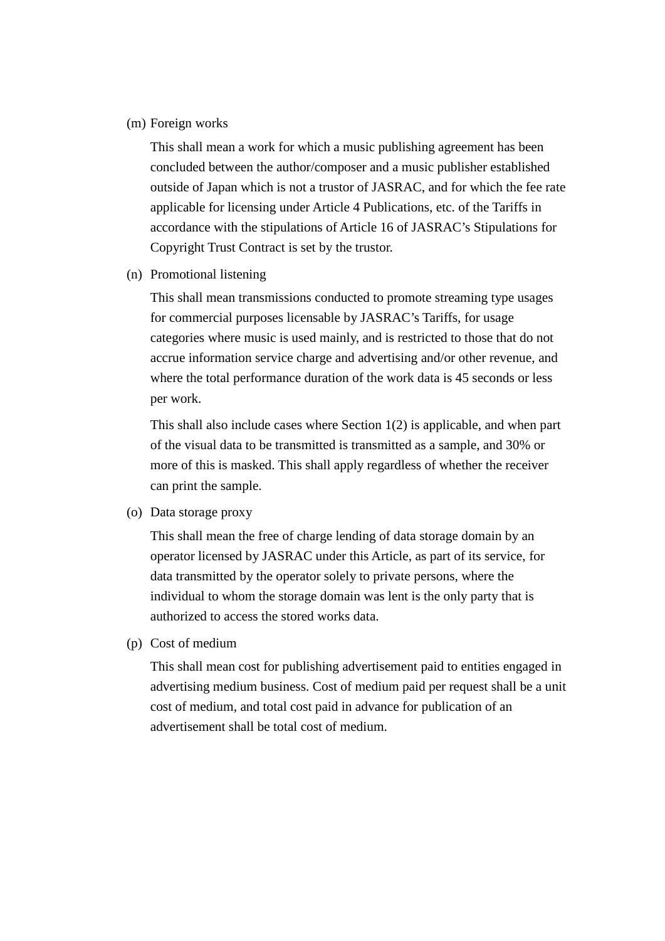(m) Foreign works

This shall mean a work for which a music publishing agreement has been concluded between the author/composer and a music publisher established outside of Japan which is not a trustor of JASRAC, and for which the fee rate applicable for licensing under Article 4 Publications, etc. of the Tariffs in accordance with the stipulations of Article 16 of JASRAC's Stipulations for Copyright Trust Contract is set by the trustor.

(n) Promotional listening

This shall mean transmissions conducted to promote streaming type usages for commercial purposes licensable by JASRAC's Tariffs, for usage categories where music is used mainly, and is restricted to those that do not accrue information service charge and advertising and/or other revenue, and where the total performance duration of the work data is 45 seconds or less per work.

This shall also include cases where Section 1(2) is applicable, and when part of the visual data to be transmitted is transmitted as a sample, and 30% or more of this is masked. This shall apply regardless of whether the receiver can print the sample.

(o) Data storage proxy

This shall mean the free of charge lending of data storage domain by an operator licensed by JASRAC under this Article, as part of its service, for data transmitted by the operator solely to private persons, where the individual to whom the storage domain was lent is the only party that is authorized to access the stored works data.

(p) Cost of medium

This shall mean cost for publishing advertisement paid to entities engaged in advertising medium business. Cost of medium paid per request shall be a unit cost of medium, and total cost paid in advance for publication of an advertisement shall be total cost of medium.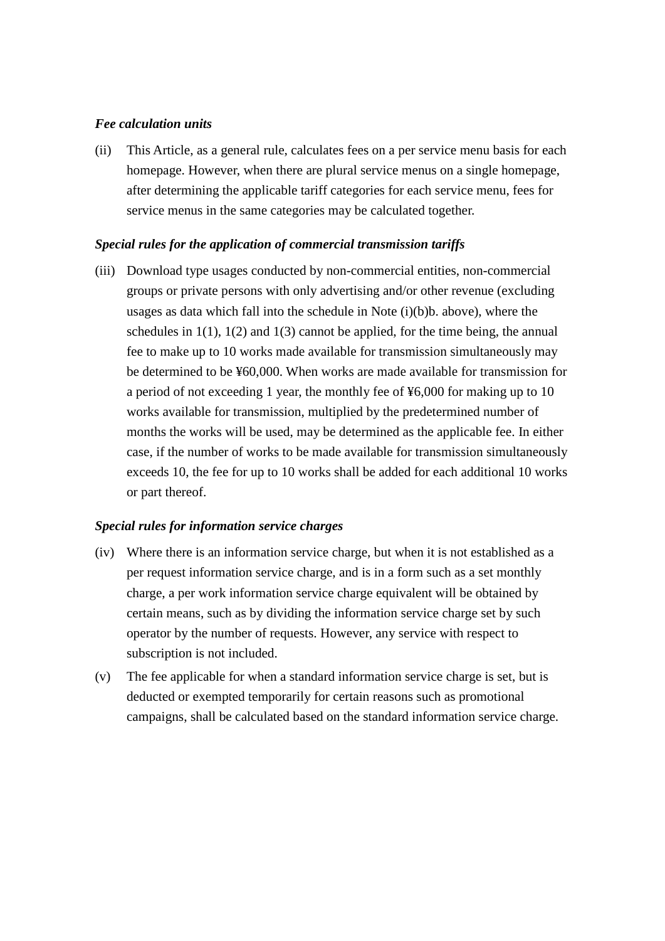### *Fee calculation units*

(ii) This Article, as a general rule, calculates fees on a per service menu basis for each homepage. However, when there are plural service menus on a single homepage, after determining the applicable tariff categories for each service menu, fees for service menus in the same categories may be calculated together.

#### *Special rules for the application of commercial transmission tariffs*

(iii) Download type usages conducted by non-commercial entities, non-commercial groups or private persons with only advertising and/or other revenue (excluding usages as data which fall into the schedule in Note  $(i)(b)b$ . above), where the schedules in  $1(1)$ ,  $1(2)$  and  $1(3)$  cannot be applied, for the time being, the annual fee to make up to 10 works made available for transmission simultaneously may be determined to be ¥60,000. When works are made available for transmission for a period of not exceeding 1 year, the monthly fee of ¥6,000 for making up to 10 works available for transmission, multiplied by the predetermined number of months the works will be used, may be determined as the applicable fee. In either case, if the number of works to be made available for transmission simultaneously exceeds 10, the fee for up to 10 works shall be added for each additional 10 works or part thereof.

### *Special rules for information service charges*

- (iv) Where there is an information service charge, but when it is not established as a per request information service charge, and is in a form such as a set monthly charge, a per work information service charge equivalent will be obtained by certain means, such as by dividing the information service charge set by such operator by the number of requests. However, any service with respect to subscription is not included.
- (v) The fee applicable for when a standard information service charge is set, but is deducted or exempted temporarily for certain reasons such as promotional campaigns, shall be calculated based on the standard information service charge.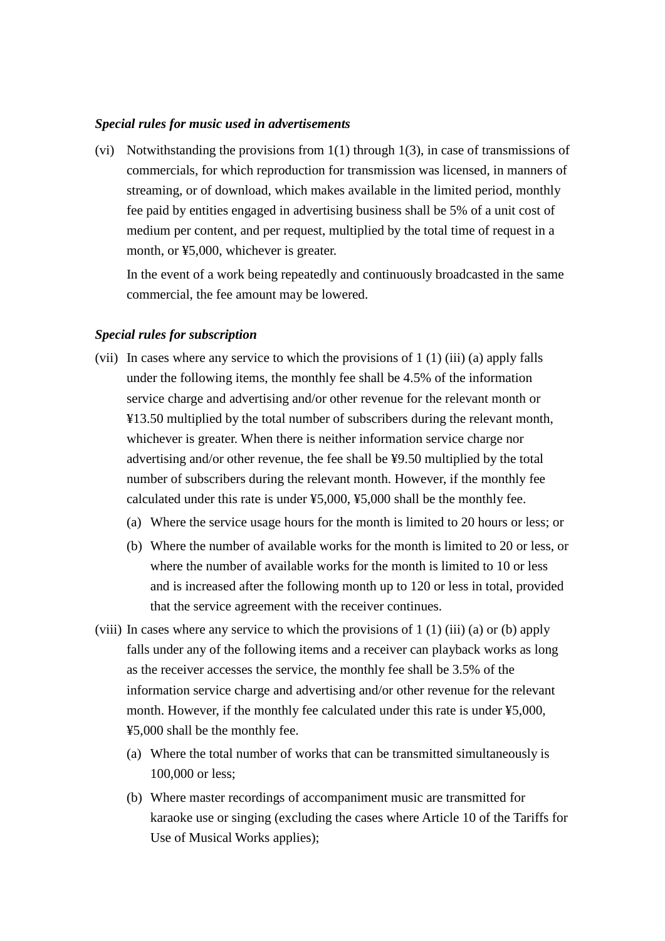#### *Special rules for music used in advertisements*

(vi) Notwithstanding the provisions from 1(1) through 1(3), in case of transmissions of commercials, for which reproduction for transmission was licensed, in manners of streaming, or of download, which makes available in the limited period, monthly fee paid by entities engaged in advertising business shall be 5% of a unit cost of medium per content, and per request, multiplied by the total time of request in a month, or ¥5,000, whichever is greater.

In the event of a work being repeatedly and continuously broadcasted in the same commercial, the fee amount may be lowered.

#### *Special rules for subscription*

- (vii) In cases where any service to which the provisions of 1 (1) (iii) (a) apply falls under the following items, the monthly fee shall be 4.5% of the information service charge and advertising and/or other revenue for the relevant month or ¥13.50 multiplied by the total number of subscribers during the relevant month, whichever is greater. When there is neither information service charge nor advertising and/or other revenue, the fee shall be ¥9.50 multiplied by the total number of subscribers during the relevant month. However, if the monthly fee calculated under this rate is under ¥5,000, ¥5,000 shall be the monthly fee.
	- (a) Where the service usage hours for the month is limited to 20 hours or less; or
	- (b) Where the number of available works for the month is limited to 20 or less, or where the number of available works for the month is limited to 10 or less and is increased after the following month up to 120 or less in total, provided that the service agreement with the receiver continues.
- (viii) In cases where any service to which the provisions of  $1(1)$  (iii) (a) or (b) apply falls under any of the following items and a receiver can playback works as long as the receiver accesses the service, the monthly fee shall be 3.5% of the information service charge and advertising and/or other revenue for the relevant month. However, if the monthly fee calculated under this rate is under ¥5,000, ¥5,000 shall be the monthly fee.
	- (a) Where the total number of works that can be transmitted simultaneously is 100,000 or less;
	- (b) Where master recordings of accompaniment music are transmitted for karaoke use or singing (excluding the cases where Article 10 of the Tariffs for Use of Musical Works applies);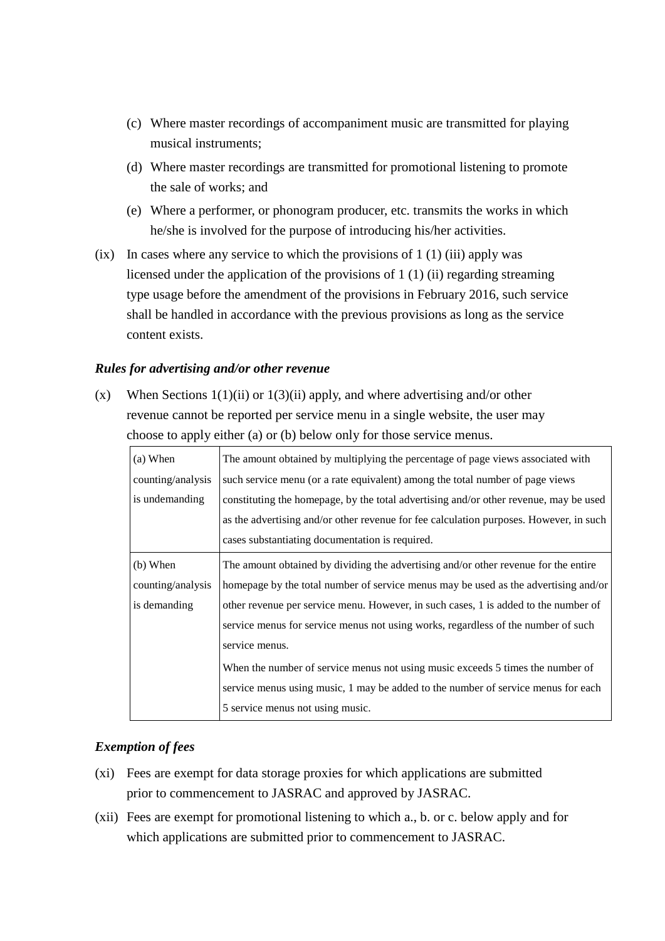- (c) Where master recordings of accompaniment music are transmitted for playing musical instruments;
- (d) Where master recordings are transmitted for promotional listening to promote the sale of works; and
- (e) Where a performer, or phonogram producer, etc. transmits the works in which he/she is involved for the purpose of introducing his/her activities.
- (ix) In cases where any service to which the provisions of  $1(1)$  (iii) apply was licensed under the application of the provisions of 1 (1) (ii) regarding streaming type usage before the amendment of the provisions in February 2016, such service shall be handled in accordance with the previous provisions as long as the service content exists.

### *Rules for advertising and/or other revenue*

(x) When Sections  $1(1)(ii)$  or  $1(3)(ii)$  apply, and where advertising and/or other revenue cannot be reported per service menu in a single website, the user may choose to apply either (a) or (b) below only for those service menus.

| (a) When                                                                                            | The amount obtained by multiplying the percentage of page views associated with        |  |  |
|-----------------------------------------------------------------------------------------------------|----------------------------------------------------------------------------------------|--|--|
| counting/analysis                                                                                   | such service menu (or a rate equivalent) among the total number of page views          |  |  |
| is undemanding                                                                                      | constituting the homepage, by the total advertising and/or other revenue, may be used  |  |  |
|                                                                                                     | as the advertising and/or other revenue for fee calculation purposes. However, in such |  |  |
|                                                                                                     | cases substantiating documentation is required.                                        |  |  |
| $(b)$ When                                                                                          | The amount obtained by dividing the advertising and/or other revenue for the entire    |  |  |
| counting/analysis                                                                                   | homepage by the total number of service menus may be used as the advertising and/or    |  |  |
| other revenue per service menu. However, in such cases, 1 is added to the number of<br>is demanding |                                                                                        |  |  |
|                                                                                                     | service menus for service menus not using works, regardless of the number of such      |  |  |
|                                                                                                     | service menus.                                                                         |  |  |
|                                                                                                     | When the number of service menus not using music exceeds 5 times the number of         |  |  |
|                                                                                                     | service menus using music, 1 may be added to the number of service menus for each      |  |  |
|                                                                                                     | 5 service menus not using music.                                                       |  |  |

# *Exemption of fees*

- (xi) Fees are exempt for data storage proxies for which applications are submitted prior to commencement to JASRAC and approved by JASRAC.
- (xii) Fees are exempt for promotional listening to which a., b. or c. below apply and for which applications are submitted prior to commencement to JASRAC.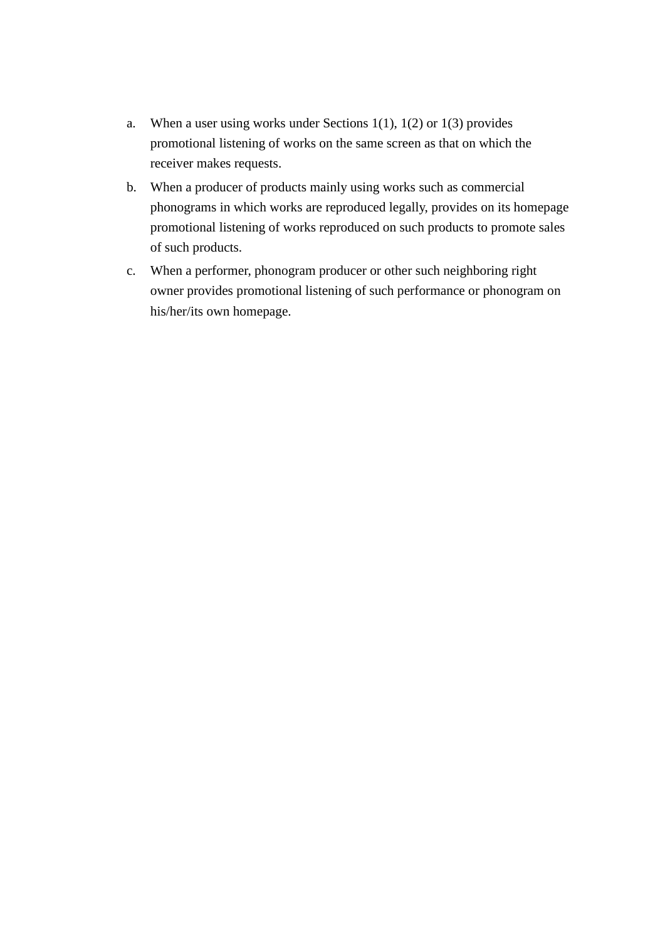- a. When a user using works under Sections  $1(1)$ ,  $1(2)$  or  $1(3)$  provides promotional listening of works on the same screen as that on which the receiver makes requests.
- b. When a producer of products mainly using works such as commercial phonograms in which works are reproduced legally, provides on its homepage promotional listening of works reproduced on such products to promote sales of such products.
- c. When a performer, phonogram producer or other such neighboring right owner provides promotional listening of such performance or phonogram on his/her/its own homepage.